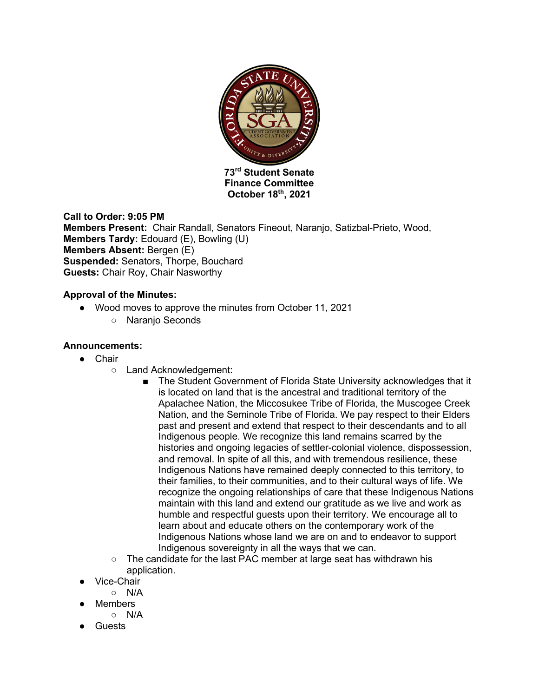

**Finance Committee October 18th, 2021**

**Call to Order: 9:05 PM Members Present:** Chair Randall, Senators Fineout, Naranjo, Satizbal-Prieto, Wood, **Members Tardy: Edouard (E), Bowling (U) Members Absent:** Bergen (E) **Suspended:** Senators, Thorpe, Bouchard **Guests:** Chair Roy, Chair Nasworthy

#### **Approval of the Minutes:**

- Wood moves to approve the minutes from October 11, 2021
	- Naranjo Seconds

### **Announcements:**

- Chair
	- Land Acknowledgement:
		- The Student Government of Florida State University acknowledges that it is located on land that is the ancestral and traditional territory of the Apalachee Nation, the Miccosukee Tribe of Florida, the Muscogee Creek Nation, and the Seminole Tribe of Florida. We pay respect to their Elders past and present and extend that respect to their descendants and to all Indigenous people. We recognize this land remains scarred by the histories and ongoing legacies of settler-colonial violence, dispossession, and removal. In spite of all this, and with tremendous resilience, these Indigenous Nations have remained deeply connected to this territory, to their families, to their communities, and to their cultural ways of life. We recognize the ongoing relationships of care that these Indigenous Nations maintain with this land and extend our gratitude as we live and work as humble and respectful guests upon their territory. We encourage all to learn about and educate others on the contemporary work of the Indigenous Nations whose land we are on and to endeavor to support Indigenous sovereignty in all the ways that we can.
	- The candidate for the last PAC member at large seat has withdrawn his application.
- Vice-Chair
- N/A
- Members
	- N/A
- **Guests**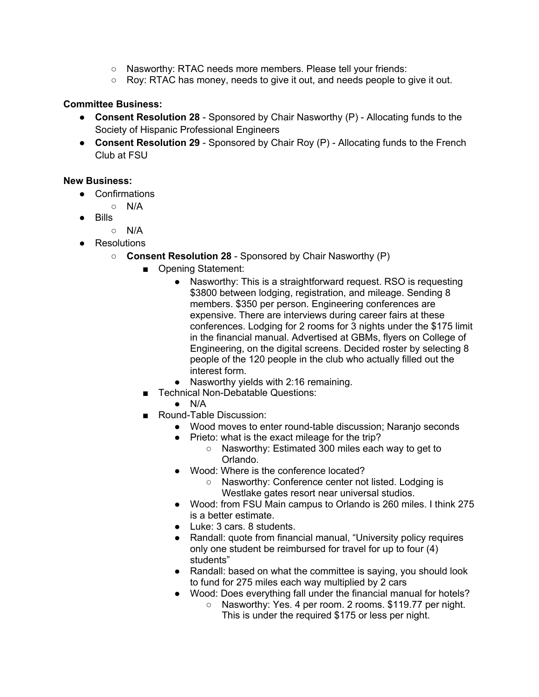- Nasworthy: RTAC needs more members. Please tell your friends:
- $\circ$  Roy: RTAC has money, needs to give it out, and needs people to give it out.

### **Committee Business:**

- **Consent Resolution 28** Sponsored by Chair Nasworthy (P) Allocating funds to the Society of Hispanic Professional Engineers
- **Consent Resolution 29** Sponsored by Chair Roy (P) Allocating funds to the French Club at FSU

### **New Business:**

- Confirmations
	- N/A
- Bills
	- N/A
- Resolutions
	- **Consent Resolution 28** Sponsored by Chair Nasworthy (P)
		- Opening Statement:
			- Nasworthy: This is a straightforward request. RSO is requesting \$3800 between lodging, registration, and mileage. Sending 8 members. \$350 per person. Engineering conferences are expensive. There are interviews during career fairs at these conferences. Lodging for 2 rooms for 3 nights under the \$175 limit in the financial manual. Advertised at GBMs, flyers on College of Engineering, on the digital screens. Decided roster by selecting 8 people of the 120 people in the club who actually filled out the interest form.
			- Nasworthy yields with 2:16 remaining.
		- Technical Non-Debatable Questions:
			- $\bullet$  N/A
		- Round-Table Discussion:
			- Wood moves to enter round-table discussion; Naranjo seconds
			- Prieto: what is the exact mileage for the trip?
				- Nasworthy: Estimated 300 miles each way to get to Orlando.
			- Wood: Where is the conference located?
				- Nasworthy: Conference center not listed. Lodging is Westlake gates resort near universal studios.
			- Wood: from FSU Main campus to Orlando is 260 miles. I think 275 is a better estimate.
			- Luke: 3 cars. 8 students.
			- Randall: quote from financial manual, "University policy requires only one student be reimbursed for travel for up to four (4) students"
			- Randall: based on what the committee is saying, you should look to fund for 275 miles each way multiplied by 2 cars
			- Wood: Does everything fall under the financial manual for hotels?
				- Nasworthy: Yes. 4 per room. 2 rooms. \$119.77 per night. This is under the required \$175 or less per night.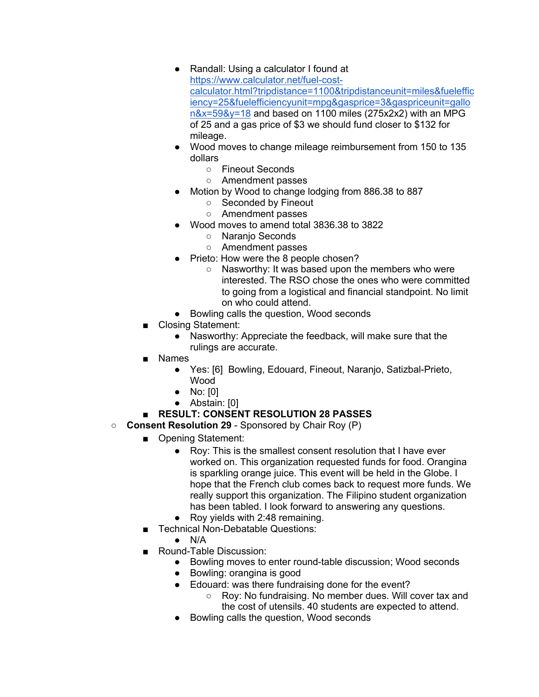- Randall: Using a calculator I found at https://www.calculator.net/fuel-costcalculator.html?tripdistance=1100&tripdistanceunit=miles&fueleffic iency=25&fuelefficiencyunit=mpg&gasprice=3&gaspriceunit=gallo n&x=59&y=18 and based on 1100 miles (275x2x2) with an MPG of 25 and a gas price of \$3 we should fund closer to \$132 for mileage.
- Wood moves to change mileage reimbursement from 150 to 135 dollars
	- Fineout Seconds
	- Amendment passes
- Motion by Wood to change lodging from 886.38 to 887
	- Seconded by Fineout
	- Amendment passes
- Wood moves to amend total 3836.38 to 3822
	- Naranjo Seconds
	- Amendment passes
	- Prieto: How were the 8 people chosen?
		- Nasworthy: It was based upon the members who were interested. The RSO chose the ones who were committed to going from a logistical and financial standpoint. No limit on who could attend.
- Bowling calls the question, Wood seconds
- Closing Statement:
	- Nasworthy: Appreciate the feedback, will make sure that the rulings are accurate.
- Names
	- Yes: [6] Bowling, Edouard, Fineout, Naranjo, Satizbal-Prieto, Wood
	- No: [0]
	- Abstain: [0]
- **RESULT: CONSENT RESOLUTION 28 PASSES**
- **Consent Resolution 29** Sponsored by Chair Roy (P)
	- Opening Statement:
		- Roy: This is the smallest consent resolution that I have ever worked on. This organization requested funds for food. Orangina is sparkling orange juice. This event will be held in the Globe. I hope that the French club comes back to request more funds. We really support this organization. The Filipino student organization has been tabled. I look forward to answering any questions.
		- Rov vields with 2:48 remaining.
	- Technical Non-Debatable Questions:
		- $\bullet$  N/A
	- Round-Table Discussion:
		- Bowling moves to enter round-table discussion; Wood seconds
		- Bowling: orangina is good
		- Edouard: was there fundraising done for the event?
			- Roy: No fundraising. No member dues. Will cover tax and the cost of utensils. 40 students are expected to attend.
		- Bowling calls the question, Wood seconds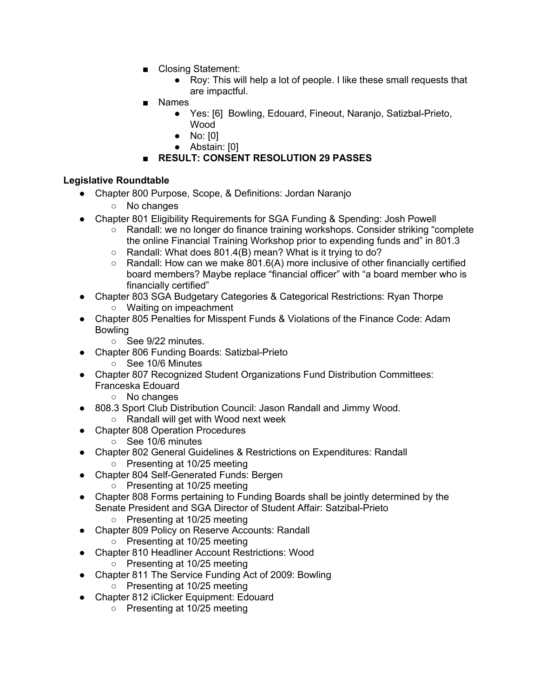- Closing Statement:
	- Roy: This will help a lot of people. I like these small requests that are impactful.
- Names
	- Yes: [6] Bowling, Edouard, Fineout, Naranjo, Satizbal-Prieto, Wood
	- No: [0]
	- Abstain: [0]

# ■ **RESULT: CONSENT RESOLUTION 29 PASSES**

### **Legislative Roundtable**

- Chapter 800 Purpose, Scope, & Definitions: Jordan Naranjo
	- No changes
- Chapter 801 Eligibility Requirements for SGA Funding & Spending: Josh Powell
	- Randall: we no longer do finance training workshops. Consider striking "complete the online Financial Training Workshop prior to expending funds and" in 801.3
	- Randall: What does 801.4(B) mean? What is it trying to do?
	- $\circ$  Randall: How can we make 801.6(A) more inclusive of other financially certified board members? Maybe replace "financial officer" with "a board member who is financially certified"
- Chapter 803 SGA Budgetary Categories & Categorical Restrictions: Ryan Thorpe ○ Waiting on impeachment
- Chapter 805 Penalties for Misspent Funds & Violations of the Finance Code: Adam Bowling
	- See 9/22 minutes.
- Chapter 806 Funding Boards: Satizbal-Prieto
	- See 10/6 Minutes
- Chapter 807 Recognized Student Organizations Fund Distribution Committees: Franceska Edouard
	- No changes
- 808.3 Sport Club Distribution Council: Jason Randall and Jimmy Wood. ○ Randall will get with Wood next week
- **Chapter 808 Operation Procedures** 
	- See 10/6 minutes
- **Chapter 802 General Guidelines & Restrictions on Expenditures: Randall** ○ Presenting at 10/25 meeting
- Chapter 804 Self-Generated Funds: Bergen
	- Presenting at 10/25 meeting
- Chapter 808 Forms pertaining to Funding Boards shall be jointly determined by the Senate President and SGA Director of Student Affair: Satzibal-Prieto
	- Presenting at 10/25 meeting
- Chapter 809 Policy on Reserve Accounts: Randall
	- Presenting at 10/25 meeting
- Chapter 810 Headliner Account Restrictions: Wood
	- Presenting at 10/25 meeting
- Chapter 811 The Service Funding Act of 2009: Bowling
	- Presenting at 10/25 meeting
- Chapter 812 iClicker Equipment: Edouard
	- Presenting at 10/25 meeting